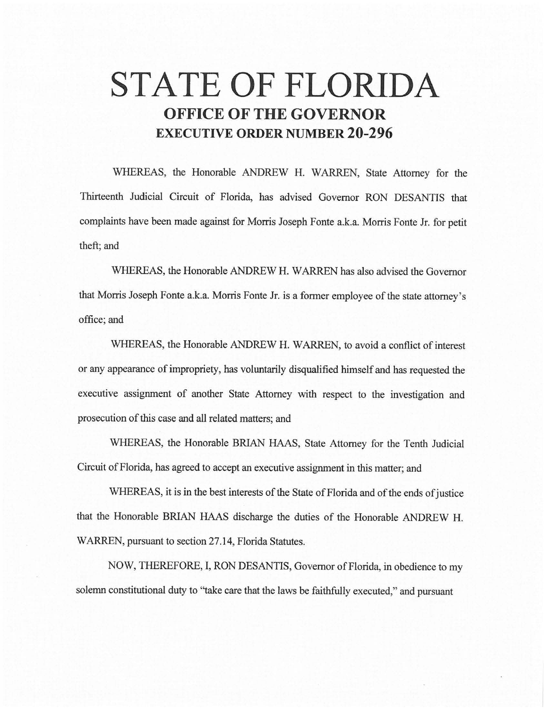# **STATE OF FLORIDA OFFICE OF THE GOVERNOR EXECUTIVE ORDER NUMBER 20-296**

WHEREAS, the Honorable ANDREW H. WARREN, State Attorney for the Thirteenth Judicial Circuit of Florida, has advised Governor RON DESANTIS that complaints have been made against for Morris Joseph Fonte a.k.a. Morris Fonte Jr. for petit theft; and

WHEREAS, the Honorable ANDREW H. WARREN has also advised the Governor that Morris Joseph Fonte a.k.a. Morris Fonte Jr. is a former employee of the state attorney's office;and

WHEREAS, the Honorable ANDREW H. WARREN, to avoid a conflict of interest or any appearance of impropriety, has voluntarily disqualified himself and has requested the executive assignment of another State Attorney with respect to the investigation and prosecution of this case and all related matters; and

WHEREAS, the Honorable BRIAN HAAS, State Attorney for the Tenth Judicial Circuit of Florida, has agreed to accept an executive assignment in this matter; and

WHEREAS, it is in the best interests of the State of Florida and of the ends of justice that the Honorable BRIAN HAAS discharge the duties of the Honorable ANDREW H. WARREN, pursuant to section 27.14, Florida Statutes.

NOW, THEREFORE, I, RON DESANTIS, Governor of Florida, in obedience to my solemn constitutional duty to "take care that the laws be faithfully executed," and pursuant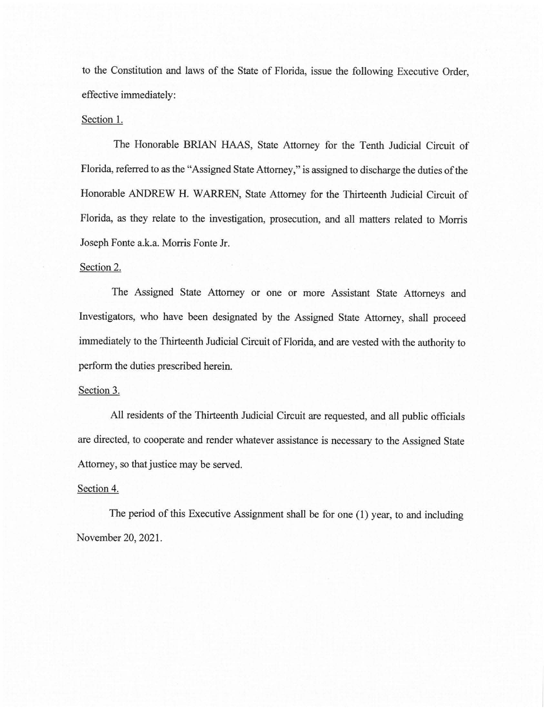to the Constitution and laws of the State of Florida, issue the following Executive Order, effective immediately:

# Section 1.

The Honorable BRIAN HAAS, State Attorney for the Tenth Judicial Circuit of Florida, referred to as the "Assigned State Attorney," is assigned to discharge the duties of the Honorable ANDREW H. WARREN, State Attorney for the Thirteenth Judicial Circuit of Florida, as they relate to the investigation, prosecution, and all matters related to Morris Joseph Fonte a.k.a. Morris Fonte Jr.

### Section 2.

The Assigned State Attorney or one or more Assistant State Attorneys and Investigators, who have been designated by the Assigned State Attorney, shall proceed immediately to the Thirteenth Judicial Circuit of Florida, and are vested with the authority to perform the duties prescribed herein.

#### Section 3.

All residents of the Thirteenth Judicial Circuit are requested, and all public officials are directed, to cooperate and render whatever assistance is necessary to the Assigned State Attorney, so that justice may be served.

# Section 4.

The period of this Executive Assignment shall be for one (1) year, to and including November 20, 2021.